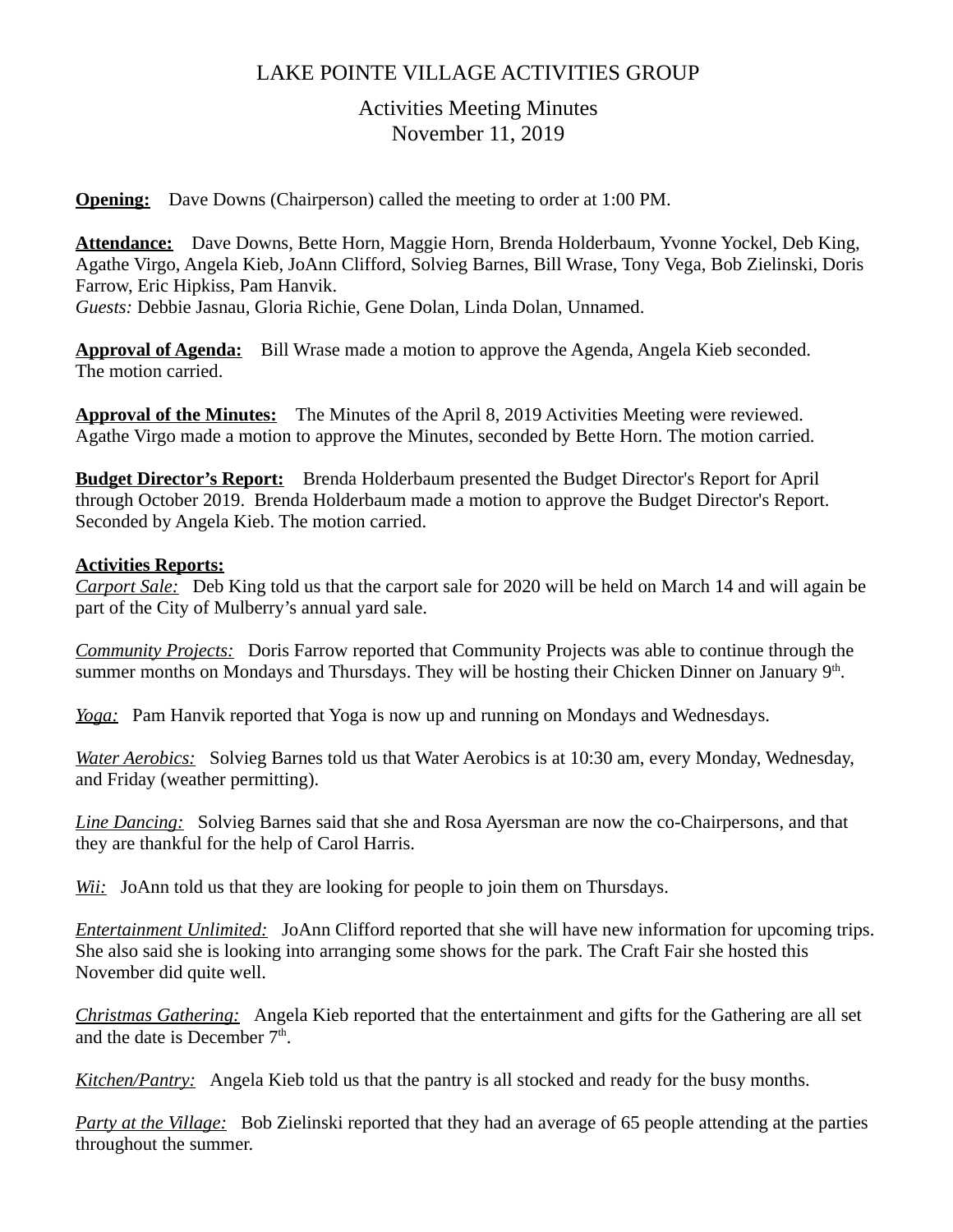# LAKE POINTE VILLAGE ACTIVITIES GROUP

# Activities Meeting Minutes November 11, 2019

**Opening:** Dave Downs (Chairperson) called the meeting to order at 1:00 PM.

**Attendance:** Dave Downs, Bette Horn, Maggie Horn, Brenda Holderbaum, Yvonne Yockel, Deb King, Agathe Virgo, Angela Kieb, JoAnn Clifford, Solvieg Barnes, Bill Wrase, Tony Vega, Bob Zielinski, Doris Farrow, Eric Hipkiss, Pam Hanvik.

*Guests:* Debbie Jasnau, Gloria Richie, Gene Dolan, Linda Dolan, Unnamed.

**Approval of Agenda:** Bill Wrase made a motion to approve the Agenda, Angela Kieb seconded. The motion carried.

**Approval of the Minutes:** The Minutes of the April 8, 2019 Activities Meeting were reviewed. Agathe Virgo made a motion to approve the Minutes, seconded by Bette Horn. The motion carried.

**Budget Director's Report:** Brenda Holderbaum presented the Budget Director's Report for April through October 2019. Brenda Holderbaum made a motion to approve the Budget Director's Report. Seconded by Angela Kieb. The motion carried.

### **Activities Reports:**

*Carport Sale:* Deb King told us that the carport sale for 2020 will be held on March 14 and will again be part of the City of Mulberry's annual yard sale.

*Community Projects:* Doris Farrow reported that Community Projects was able to continue through the summer months on Mondays and Thursdays. They will be hosting their Chicken Dinner on January  $9<sup>th</sup>$ .

*Yoga:* Pam Hanvik reported that Yoga is now up and running on Mondays and Wednesdays.

*Water Aerobics:* Solvieg Barnes told us that Water Aerobics is at 10:30 am, every Monday, Wednesday, and Friday (weather permitting).

*Line Dancing:* Solvieg Barnes said that she and Rosa Ayersman are now the co-Chairpersons, and that they are thankful for the help of Carol Harris.

*Wii:* JoAnn told us that they are looking for people to join them on Thursdays.

*Entertainment Unlimited:* JoAnn Clifford reported that she will have new information for upcoming trips. She also said she is looking into arranging some shows for the park. The Craft Fair she hosted this November did quite well.

*Christmas Gathering:* Angela Kieb reported that the entertainment and gifts for the Gathering are all set and the date is December  $7<sup>th</sup>$ .

*Kitchen/Pantry:* Angela Kieb told us that the pantry is all stocked and ready for the busy months.

*Party at the Village:* Bob Zielinski reported that they had an average of 65 people attending at the parties throughout the summer.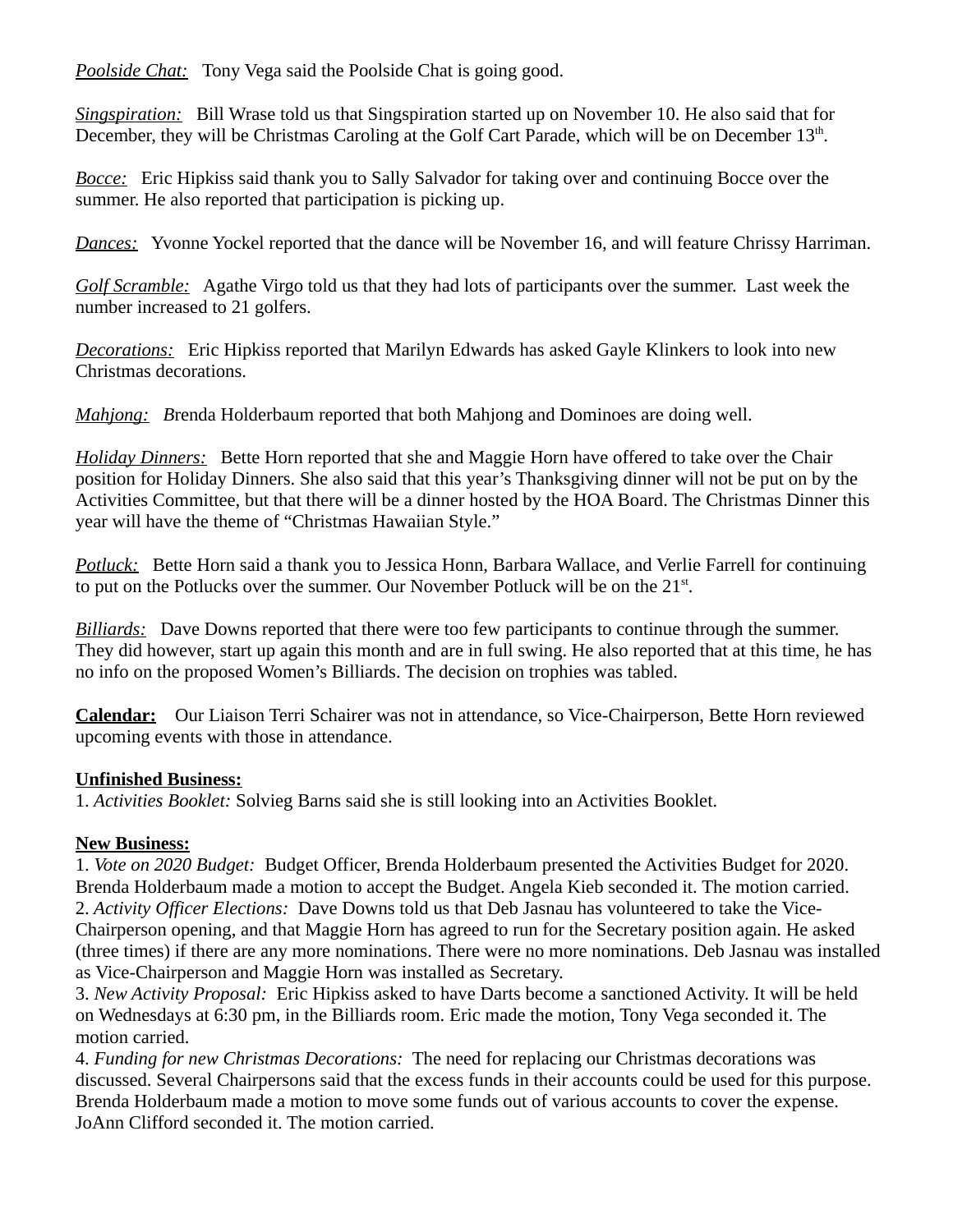*Poolside Chat:* Tony Vega said the Poolside Chat is going good.

*Singspiration:* Bill Wrase told us that Singspiration started up on November 10. He also said that for December, they will be Christmas Caroling at the Golf Cart Parade, which will be on December 13<sup>th</sup>.

*Bocce:* Eric Hipkiss said thank you to Sally Salvador for taking over and continuing Bocce over the summer. He also reported that participation is picking up.

*Dances:* Yvonne Yockel reported that the dance will be November 16, and will feature Chrissy Harriman.

*Golf Scramble:* Agathe Virgo told us that they had lots of participants over the summer. Last week the number increased to 21 golfers.

*Decorations:* Eric Hipkiss reported that Marilyn Edwards has asked Gayle Klinkers to look into new Christmas decorations.

*Mahjong: B*renda Holderbaum reported that both Mahjong and Dominoes are doing well.

*Holiday Dinners:* Bette Horn reported that she and Maggie Horn have offered to take over the Chair position for Holiday Dinners. She also said that this year's Thanksgiving dinner will not be put on by the Activities Committee, but that there will be a dinner hosted by the HOA Board. The Christmas Dinner this year will have the theme of "Christmas Hawaiian Style."

*Potluck:* Bette Horn said a thank you to Jessica Honn, Barbara Wallace, and Verlie Farrell for continuing to put on the Potlucks over the summer. Our November Potluck will be on the  $21<sup>st</sup>$ .

*Billiards:* Dave Downs reported that there were too few participants to continue through the summer. They did however, start up again this month and are in full swing. He also reported that at this time, he has no info on the proposed Women's Billiards. The decision on trophies was tabled.

**Calendar:**Our Liaison Terri Schairer was not in attendance, so Vice-Chairperson, Bette Horn reviewed upcoming events with those in attendance.

## **Unfinished Business:**

1. *Activities Booklet:* Solvieg Barns said she is still looking into an Activities Booklet.

# **New Business:**

1. *Vote on 2020 Budget:* Budget Officer, Brenda Holderbaum presented the Activities Budget for 2020. Brenda Holderbaum made a motion to accept the Budget. Angela Kieb seconded it. The motion carried. 2. *Activity Officer Elections:* Dave Downs told us that Deb Jasnau has volunteered to take the Vice-Chairperson opening, and that Maggie Horn has agreed to run for the Secretary position again. He asked (three times) if there are any more nominations. There were no more nominations. Deb Jasnau was installed as Vice-Chairperson and Maggie Horn was installed as Secretary.

3. *New Activity Proposal:* Eric Hipkiss asked to have Darts become a sanctioned Activity. It will be held on Wednesdays at 6:30 pm, in the Billiards room. Eric made the motion, Tony Vega seconded it. The motion carried.

4. *Funding for new Christmas Decorations:* The need for replacing our Christmas decorations was discussed. Several Chairpersons said that the excess funds in their accounts could be used for this purpose. Brenda Holderbaum made a motion to move some funds out of various accounts to cover the expense. JoAnn Clifford seconded it. The motion carried.